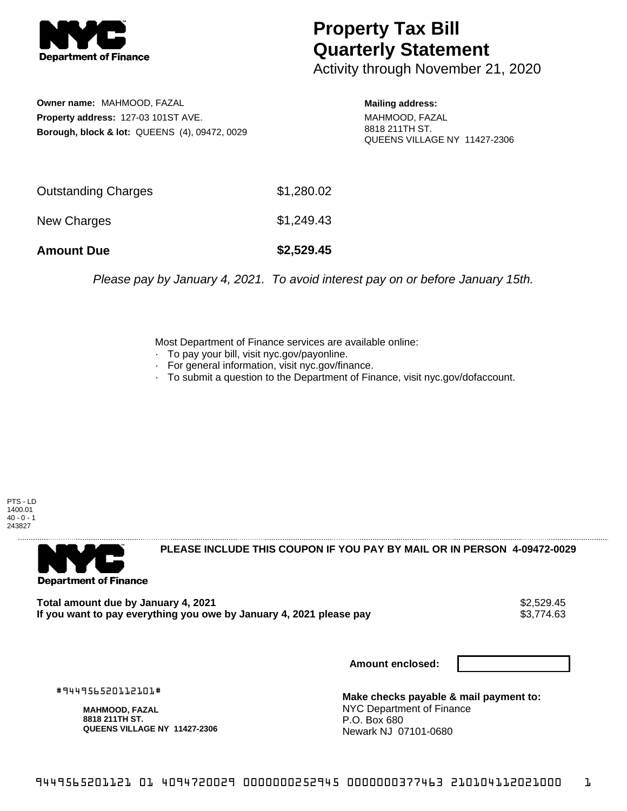

## **Property Tax Bill Quarterly Statement**

Activity through November 21, 2020

**Owner name:** MAHMOOD, FAZAL **Property address:** 127-03 101ST AVE. **Borough, block & lot:** QUEENS (4), 09472, 0029 **Mailing address:**

MAHMOOD, FAZAL 8818 211TH ST. QUEENS VILLAGE NY 11427-2306

| <b>Amount Due</b>   | \$2,529.45 |
|---------------------|------------|
| New Charges         | \$1,249.43 |
| Outstanding Charges | \$1,280.02 |

Please pay by January 4, 2021. To avoid interest pay on or before January 15th.

Most Department of Finance services are available online:

- · To pay your bill, visit nyc.gov/payonline.
- For general information, visit nyc.gov/finance.
- · To submit a question to the Department of Finance, visit nyc.gov/dofaccount.

PTS - LD 1400.01  $40 - 0 - 1$ 243827



**PLEASE INCLUDE THIS COUPON IF YOU PAY BY MAIL OR IN PERSON 4-09472-0029** 

Total amount due by January 4, 2021<br>If you want to pay everything you owe by January 4, 2021 please pay **show that the summan wave of the s**3,774.63 If you want to pay everything you owe by January 4, 2021 please pay

**Amount enclosed:**

#944956520112101#

**MAHMOOD, FAZAL 8818 211TH ST. QUEENS VILLAGE NY 11427-2306**

**Make checks payable & mail payment to:** NYC Department of Finance P.O. Box 680 Newark NJ 07101-0680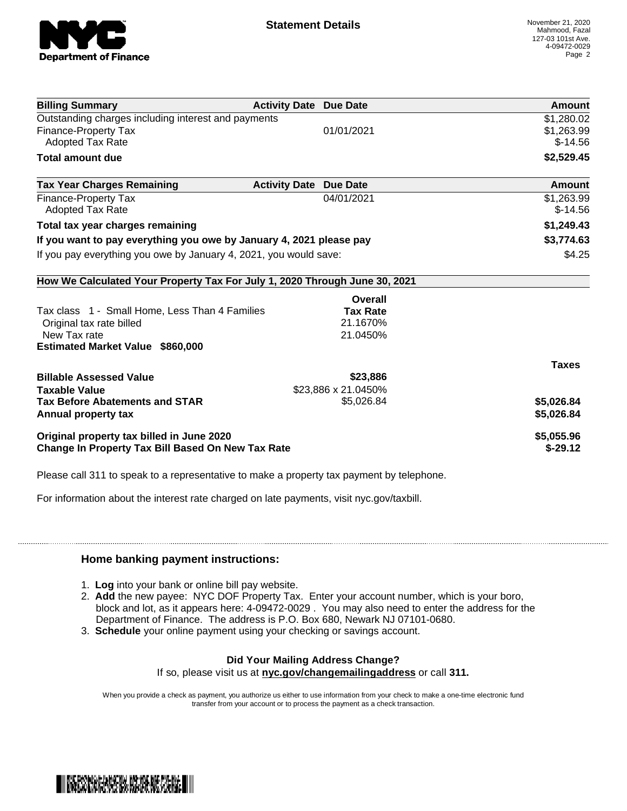

| <b>Billing Summary</b>                                                     | <b>Activity Date Due Date</b>           | Amount       |
|----------------------------------------------------------------------------|-----------------------------------------|--------------|
| Outstanding charges including interest and payments                        |                                         | \$1,280.02   |
| Finance-Property Tax                                                       | 01/01/2021                              | \$1,263.99   |
| <b>Adopted Tax Rate</b>                                                    |                                         | $$-14.56$    |
| <b>Total amount due</b>                                                    |                                         | \$2,529.45   |
| <b>Tax Year Charges Remaining</b>                                          | <b>Activity Date</b><br><b>Due Date</b> | Amount       |
| Finance-Property Tax                                                       | 04/01/2021                              | \$1,263.99   |
| <b>Adopted Tax Rate</b>                                                    |                                         | $$-14.56$    |
| Total tax year charges remaining                                           |                                         | \$1,249.43   |
| If you want to pay everything you owe by January 4, 2021 please pay        |                                         | \$3,774.63   |
| If you pay everything you owe by January 4, 2021, you would save:          |                                         | \$4.25       |
| How We Calculated Your Property Tax For July 1, 2020 Through June 30, 2021 |                                         |              |
|                                                                            | Overall                                 |              |
| Tax class 1 - Small Home, Less Than 4 Families                             | <b>Tax Rate</b>                         |              |
| Original tax rate billed                                                   | 21.1670%                                |              |
| New Tax rate                                                               | 21.0450%                                |              |
| <b>Estimated Market Value \$860,000</b>                                    |                                         |              |
|                                                                            |                                         | <b>Taxes</b> |
| <b>Billable Assessed Value</b>                                             | \$23,886                                |              |
| <b>Taxable Value</b>                                                       | \$23,886 x 21.0450%                     |              |
| <b>Tax Before Abatements and STAR</b>                                      | \$5,026.84                              | \$5,026.84   |
| Annual property tax                                                        |                                         | \$5,026.84   |
| Original property tax billed in June 2020                                  |                                         | \$5,055.96   |
| <b>Change In Property Tax Bill Based On New Tax Rate</b>                   |                                         | $$-29.12$    |

Please call 311 to speak to a representative to make a property tax payment by telephone.

For information about the interest rate charged on late payments, visit nyc.gov/taxbill.

## **Home banking payment instructions:**

- 1. **Log** into your bank or online bill pay website.
- 2. **Add** the new payee: NYC DOF Property Tax. Enter your account number, which is your boro, block and lot, as it appears here: 4-09472-0029 . You may also need to enter the address for the Department of Finance. The address is P.O. Box 680, Newark NJ 07101-0680.
- 3. **Schedule** your online payment using your checking or savings account.

## **Did Your Mailing Address Change?**

If so, please visit us at **nyc.gov/changemailingaddress** or call **311.**

When you provide a check as payment, you authorize us either to use information from your check to make a one-time electronic fund transfer from your account or to process the payment as a check transaction.